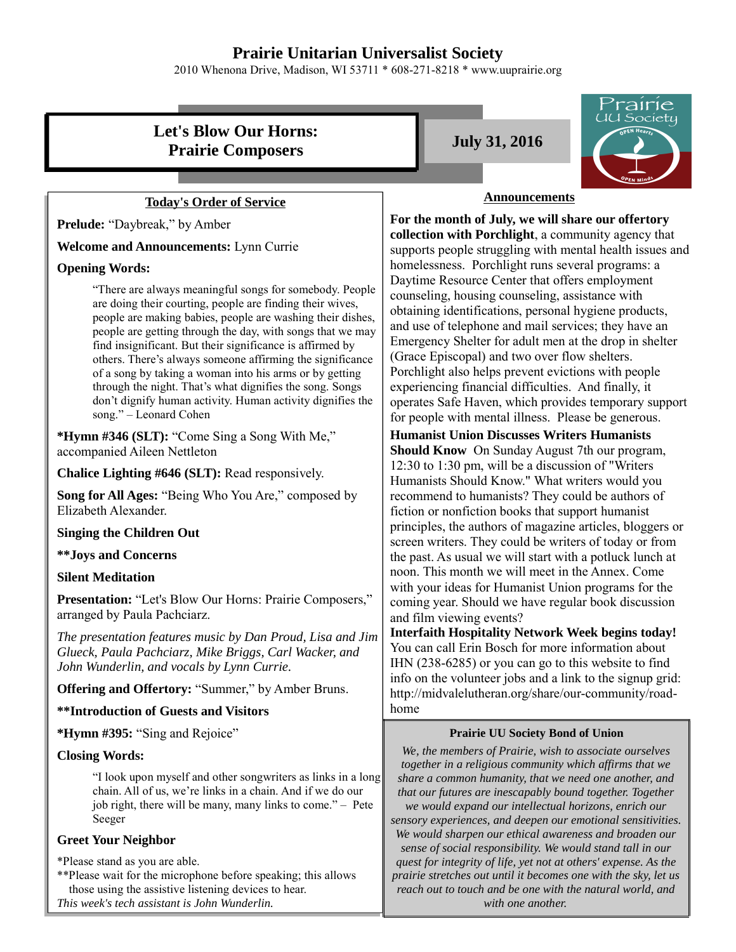## **Prairie Unitarian Universalist Society**

2010 Whenona Drive, Madison, WI 53711 \* 608-271-8218 \* www.uuprairie.org

# **Let's Blow Our Horns: Prairie Composers July 31, 2016**

## **Today's Order of Service**

**Prelude:** "Daybreak," by Amber

**Welcome and Announcements:** Lynn Currie

#### **Opening Words:**

"There are always meaningful songs for somebody. People are doing their courting, people are finding their wives, people are making babies, people are washing their dishes, people are getting through the day, with songs that we may find insignificant. But their significance is affirmed by others. There's always someone affirming the significance of a song by taking a woman into his arms or by getting through the night. That's what dignifies the song. Songs don't dignify human activity. Human activity dignifies the song." – Leonard Cohen

**\*Hymn #346 (SLT):** "Come Sing a Song With Me," accompanied Aileen Nettleton

**Chalice Lighting #646 (SLT):** Read responsively.

**Song for All Ages:** "Being Who You Are," composed by Elizabeth Alexander.

#### **Singing the Children Out**

## **\*\*Joys and Concerns**

### **Silent Meditation**

**Presentation:** "Let's Blow Our Horns: Prairie Composers," arranged by Paula Pachciarz.

*The presentation features music by Dan Proud, Lisa and Jim Glueck, Paula Pachciarz, Mike Briggs, Carl Wacker, and John Wunderlin, and vocals by Lynn Currie.*

**Offering and Offertory: "Summer," by Amber Bruns.** 

### **\*\*Introduction of Guests and Visitors**

**\*Hymn #395:** "Sing and Rejoice"

#### **Closing Words:**

"I look upon myself and other songwriters as links in a long chain. All of us, we're links in a chain. And if we do our job right, there will be many, many links to come." – Pete Seeger

### **Greet Your Neighbor**

\*Please stand as you are able.

\*\*Please wait for the microphone before speaking; this allows those using the assistive listening devices to hear.

```
This week's tech assistant is John Wunderlin.
```


#### **Announcements**

**For the month of July, we will share our offertory collection with Porchlight**, a community agency that supports people struggling with mental health issues and homelessness. Porchlight runs several programs: a Daytime Resource Center that offers employment counseling, housing counseling, assistance with obtaining identifications, personal hygiene products, and use of telephone and mail services; they have an Emergency Shelter for adult men at the drop in shelter (Grace Episcopal) and two over flow shelters. Porchlight also helps prevent evictions with people experiencing financial difficulties. And finally, it operates Safe Haven, which provides temporary support for people with mental illness. Please be generous.

**Humanist Union Discusses Writers Humanists** 

**Should Know** On Sunday August 7th our program, 12:30 to 1:30 pm, will be a discussion of "Writers Humanists Should Know." What writers would you recommend to humanists? They could be authors of fiction or nonfiction books that support humanist principles, the authors of magazine articles, bloggers or screen writers. They could be writers of today or from the past. As usual we will start with a potluck lunch at noon. This month we will meet in the Annex. Come with your ideas for Humanist Union programs for the coming year. Should we have regular book discussion and film viewing events?

**Interfaith Hospitality Network Week begins today!**  You can call Erin Bosch for more information about IHN (238-6285) or you can go to this website to find info on the volunteer jobs and a link to the signup grid: http://midvalelutheran.org/share/our-community/roadhome

### **Prairie UU Society Bond of Union**

*We, the members of Prairie, wish to associate ourselves together in a religious community which affirms that we share a common humanity, that we need one another, and that our futures are inescapably bound together. Together we would expand our intellectual horizons, enrich our sensory experiences, and deepen our emotional sensitivities. We would sharpen our ethical awareness and broaden our sense of social responsibility. We would stand tall in our quest for integrity of life, yet not at others' expense. As the prairie stretches out until it becomes one with the sky, let us reach out to touch and be one with the natural world, and with one another.*